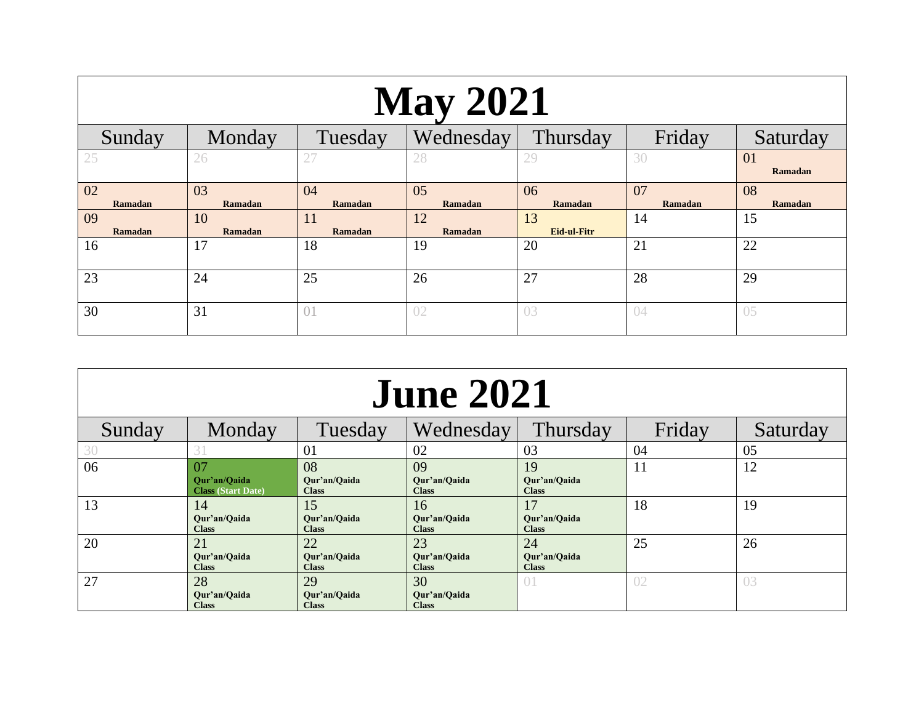| <b>May 2021</b> |                      |               |               |                   |               |               |  |
|-----------------|----------------------|---------------|---------------|-------------------|---------------|---------------|--|
| Sunday          | Monday               | Tuesday       | Wednesday     | Thursday          | Friday        | Saturday      |  |
| 25              | 26                   | 27            | 28            | 29                | 30            | 01<br>Ramadan |  |
| 02<br>Ramadan   | 03<br>Ramadan        | 04<br>Ramadan | 05<br>Ramadan | 06<br>Ramadan     | 07<br>Ramadan | 08<br>Ramadan |  |
| 09<br>Ramadan   | 10<br><b>Ramadan</b> | 11<br>Ramadan | 12<br>Ramadan | 13<br>Eid-ul-Fitr | 14            | 15            |  |
| 16              | 17                   | 18            | 19            | 20                | 21            | 22            |  |
| 23              | 24                   | 25            | 26            | 27                | 28            | 29            |  |
| 30              | 31                   | 01            | 02            | 03                | 04            | 05            |  |

| <b>June 2021</b> |                                                 |                                    |                                    |                                    |        |          |  |
|------------------|-------------------------------------------------|------------------------------------|------------------------------------|------------------------------------|--------|----------|--|
| Sunday           | Monday                                          | Tuesday                            | Wednesday                          | <b>Thursday</b>                    | Friday | Saturday |  |
| 30               |                                                 | 01                                 | 02                                 | 03                                 | 04     | 05       |  |
| 06               | 07<br>Qur'an/Qaida<br><b>Class (Start Date)</b> | 08<br>Qur'an/Qaida<br><b>Class</b> | 09<br>Qur'an/Qaida<br><b>Class</b> | 19<br>Qur'an/Qaida<br><b>Class</b> | 11     | 12       |  |
| 13               | 14<br>Our'an/Oaida<br><b>Class</b>              | 15<br>Our'an/Oaida<br><b>Class</b> | 16<br>Our'an/Oaida<br><b>Class</b> | 17<br>Our'an/Oaida<br><b>Class</b> | 18     | 19       |  |
| 20               | 21<br>Our'an/Oaida<br><b>Class</b>              | 22<br>Our'an/Oaida<br><b>Class</b> | 23<br>Our'an/Oaida<br><b>Class</b> | 24<br>Our'an/Oaida<br><b>Class</b> | 25     | 26       |  |
| 27               | 28<br>Our'an/Oaida<br><b>Class</b>              | 29<br>Our'an/Oaida<br><b>Class</b> | 30<br>Our'an/Oaida<br><b>Class</b> | 01                                 | 02     | 03       |  |